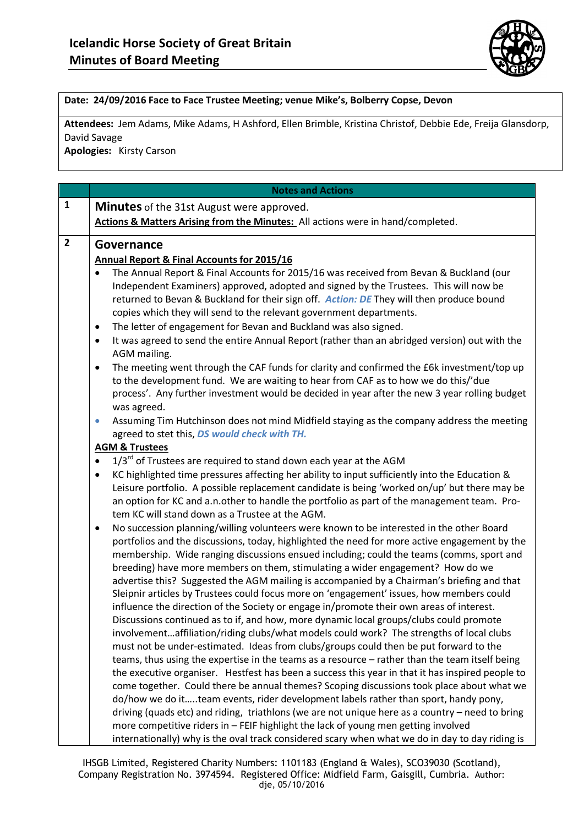

## **Date: 24/09/2016 Face to Face Trustee Meeting; venue Mike's, Bolberry Copse, Devon**

**Attendees:** Jem Adams, Mike Adams, H Ashford, Ellen Brimble, Kristina Christof, Debbie Ede, Freija Glansdorp, David Savage

**Apologies:** Kirsty Carson

|                | <b>Notes and Actions</b>                                                                                                                                                           |
|----------------|------------------------------------------------------------------------------------------------------------------------------------------------------------------------------------|
| $\mathbf{1}$   | <b>Minutes</b> of the 31st August were approved.                                                                                                                                   |
|                | Actions & Matters Arising from the Minutes: All actions were in hand/completed.                                                                                                    |
| $\overline{2}$ |                                                                                                                                                                                    |
|                | Governance                                                                                                                                                                         |
|                | Annual Report & Final Accounts for 2015/16                                                                                                                                         |
|                | The Annual Report & Final Accounts for 2015/16 was received from Bevan & Buckland (our                                                                                             |
|                | Independent Examiners) approved, adopted and signed by the Trustees. This will now be                                                                                              |
|                | returned to Bevan & Buckland for their sign off. Action: DE They will then produce bound                                                                                           |
|                | copies which they will send to the relevant government departments.                                                                                                                |
|                | The letter of engagement for Bevan and Buckland was also signed.<br>$\bullet$                                                                                                      |
|                | It was agreed to send the entire Annual Report (rather than an abridged version) out with the<br>$\bullet$<br>AGM mailing.                                                         |
|                | The meeting went through the CAF funds for clarity and confirmed the £6k investment/top up<br>$\bullet$                                                                            |
|                | to the development fund. We are waiting to hear from CAF as to how we do this/'due                                                                                                 |
|                | process'. Any further investment would be decided in year after the new 3 year rolling budget                                                                                      |
|                | was agreed.                                                                                                                                                                        |
|                | Assuming Tim Hutchinson does not mind Midfield staying as the company address the meeting<br>$\bullet$                                                                             |
|                | agreed to stet this, DS would check with TH.                                                                                                                                       |
|                | <b>AGM &amp; Trustees</b>                                                                                                                                                          |
|                | 1/3 <sup>rd</sup> of Trustees are required to stand down each year at the AGM<br>$\bullet$                                                                                         |
|                | KC highlighted time pressures affecting her ability to input sufficiently into the Education &<br>$\bullet$                                                                        |
|                | Leisure portfolio. A possible replacement candidate is being 'worked on/up' but there may be                                                                                       |
|                | an option for KC and a.n.other to handle the portfolio as part of the management team. Pro-                                                                                        |
|                | tem KC will stand down as a Trustee at the AGM.                                                                                                                                    |
|                | No succession planning/willing volunteers were known to be interested in the other Board<br>$\bullet$                                                                              |
|                | portfolios and the discussions, today, highlighted the need for more active engagement by the                                                                                      |
|                | membership. Wide ranging discussions ensued including; could the teams (comms, sport and                                                                                           |
|                | breeding) have more members on them, stimulating a wider engagement? How do we                                                                                                     |
|                | advertise this? Suggested the AGM mailing is accompanied by a Chairman's briefing and that                                                                                         |
|                | Sleipnir articles by Trustees could focus more on 'engagement' issues, how members could                                                                                           |
|                | influence the direction of the Society or engage in/promote their own areas of interest.<br>Discussions continued as to if, and how, more dynamic local groups/clubs could promote |
|                |                                                                                                                                                                                    |
|                | involvementaffiliation/riding clubs/what models could work? The strengths of local clubs<br>must not be under-estimated. Ideas from clubs/groups could then be put forward to the  |
|                | teams, thus using the expertise in the teams as a resource - rather than the team itself being                                                                                     |
|                | the executive organiser. Hestfest has been a success this year in that it has inspired people to                                                                                   |
|                | come together. Could there be annual themes? Scoping discussions took place about what we                                                                                          |
|                | do/how we do itteam events, rider development labels rather than sport, handy pony,                                                                                                |
|                | driving (quads etc) and riding, triathlons (we are not unique here as a country - need to bring                                                                                    |
|                | more competitive riders in - FEIF highlight the lack of young men getting involved                                                                                                 |
|                | internationally) why is the oval track considered scary when what we do in day to day riding is                                                                                    |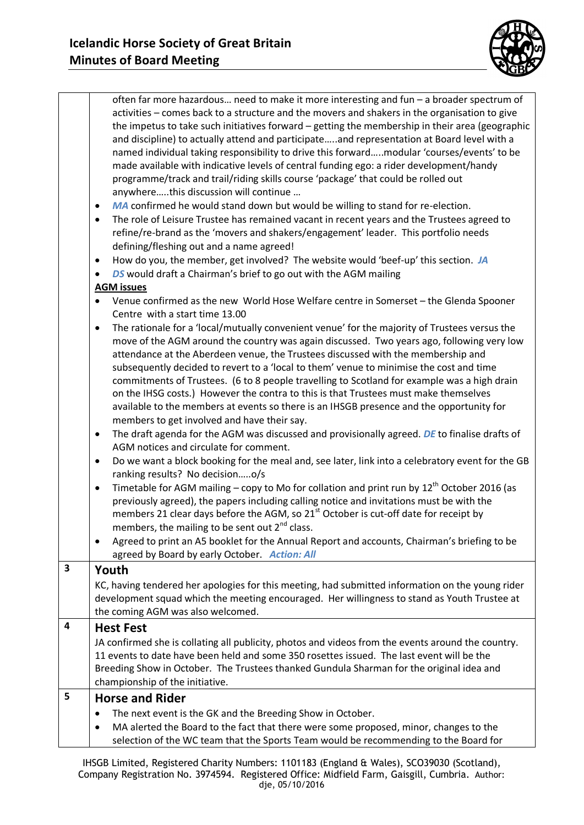

|   | often far more hazardous need to make it more interesting and fun - a broader spectrum of<br>activities - comes back to a structure and the movers and shakers in the organisation to give<br>the impetus to take such initiatives forward - getting the membership in their area (geographic<br>and discipline) to actually attend and participateand representation at Board level with a<br>named individual taking responsibility to drive this forwardmodular 'courses/events' to be<br>made available with indicative levels of central funding ego: a rider development/handy<br>programme/track and trail/riding skills course 'package' that could be rolled out<br>anywherethis discussion will continue<br>MA confirmed he would stand down but would be willing to stand for re-election.<br>$\bullet$<br>The role of Leisure Trustee has remained vacant in recent years and the Trustees agreed to<br>$\bullet$<br>refine/re-brand as the 'movers and shakers/engagement' leader. This portfolio needs<br>defining/fleshing out and a name agreed!<br>How do you, the member, get involved? The website would 'beef-up' this section. JA<br>$\bullet$<br>DS would draft a Chairman's brief to go out with the AGM mailing<br>$\bullet$ |
|---|------------------------------------------------------------------------------------------------------------------------------------------------------------------------------------------------------------------------------------------------------------------------------------------------------------------------------------------------------------------------------------------------------------------------------------------------------------------------------------------------------------------------------------------------------------------------------------------------------------------------------------------------------------------------------------------------------------------------------------------------------------------------------------------------------------------------------------------------------------------------------------------------------------------------------------------------------------------------------------------------------------------------------------------------------------------------------------------------------------------------------------------------------------------------------------------------------------------------------------------------------|
|   | <b>AGM issues</b>                                                                                                                                                                                                                                                                                                                                                                                                                                                                                                                                                                                                                                                                                                                                                                                                                                                                                                                                                                                                                                                                                                                                                                                                                                    |
|   | Venue confirmed as the new World Hose Welfare centre in Somerset - the Glenda Spooner<br>$\bullet$<br>Centre with a start time 13.00                                                                                                                                                                                                                                                                                                                                                                                                                                                                                                                                                                                                                                                                                                                                                                                                                                                                                                                                                                                                                                                                                                                 |
|   | The rationale for a 'local/mutually convenient venue' for the majority of Trustees versus the<br>٠<br>move of the AGM around the country was again discussed. Two years ago, following very low<br>attendance at the Aberdeen venue, the Trustees discussed with the membership and<br>subsequently decided to revert to a 'local to them' venue to minimise the cost and time<br>commitments of Trustees. (6 to 8 people travelling to Scotland for example was a high drain<br>on the IHSG costs.) However the contra to this is that Trustees must make themselves<br>available to the members at events so there is an IHSGB presence and the opportunity for<br>members to get involved and have their say.<br>The draft agenda for the AGM was discussed and provisionally agreed. DE to finalise drafts of<br>$\bullet$                                                                                                                                                                                                                                                                                                                                                                                                                       |
|   | AGM notices and circulate for comment.<br>Do we want a block booking for the meal and, see later, link into a celebratory event for the GB<br>$\bullet$                                                                                                                                                                                                                                                                                                                                                                                                                                                                                                                                                                                                                                                                                                                                                                                                                                                                                                                                                                                                                                                                                              |
|   | ranking results? No decisiono/s<br>Timetable for AGM mailing - copy to Mo for collation and print run by 12 <sup>th</sup> October 2016 (as                                                                                                                                                                                                                                                                                                                                                                                                                                                                                                                                                                                                                                                                                                                                                                                                                                                                                                                                                                                                                                                                                                           |
|   | $\bullet$<br>previously agreed), the papers including calling notice and invitations must be with the<br>members 21 clear days before the AGM, so 21 <sup>st</sup> October is cut-off date for receipt by<br>members, the mailing to be sent out 2 <sup>nd</sup> class.                                                                                                                                                                                                                                                                                                                                                                                                                                                                                                                                                                                                                                                                                                                                                                                                                                                                                                                                                                              |
|   | Agreed to print an A5 booklet for the Annual Report and accounts, Chairman's briefing to be<br>٠                                                                                                                                                                                                                                                                                                                                                                                                                                                                                                                                                                                                                                                                                                                                                                                                                                                                                                                                                                                                                                                                                                                                                     |
|   | agreed by Board by early October. Action: All                                                                                                                                                                                                                                                                                                                                                                                                                                                                                                                                                                                                                                                                                                                                                                                                                                                                                                                                                                                                                                                                                                                                                                                                        |
| 3 | Youth<br>KC, having tendered her apologies for this meeting, had submitted information on the young rider<br>development squad which the meeting encouraged. Her willingness to stand as Youth Trustee at<br>the coming AGM was also welcomed.                                                                                                                                                                                                                                                                                                                                                                                                                                                                                                                                                                                                                                                                                                                                                                                                                                                                                                                                                                                                       |
| 4 | <b>Hest Fest</b>                                                                                                                                                                                                                                                                                                                                                                                                                                                                                                                                                                                                                                                                                                                                                                                                                                                                                                                                                                                                                                                                                                                                                                                                                                     |
|   | JA confirmed she is collating all publicity, photos and videos from the events around the country.<br>11 events to date have been held and some 350 rosettes issued. The last event will be the<br>Breeding Show in October. The Trustees thanked Gundula Sharman for the original idea and<br>championship of the initiative.                                                                                                                                                                                                                                                                                                                                                                                                                                                                                                                                                                                                                                                                                                                                                                                                                                                                                                                       |
| 5 | <b>Horse and Rider</b>                                                                                                                                                                                                                                                                                                                                                                                                                                                                                                                                                                                                                                                                                                                                                                                                                                                                                                                                                                                                                                                                                                                                                                                                                               |
|   | The next event is the GK and the Breeding Show in October.<br>٠                                                                                                                                                                                                                                                                                                                                                                                                                                                                                                                                                                                                                                                                                                                                                                                                                                                                                                                                                                                                                                                                                                                                                                                      |
|   | MA alerted the Board to the fact that there were some proposed, minor, changes to the<br>selection of the WC team that the Sports Team would be recommending to the Board for                                                                                                                                                                                                                                                                                                                                                                                                                                                                                                                                                                                                                                                                                                                                                                                                                                                                                                                                                                                                                                                                        |

IHSGB Limited, Registered Charity Numbers: 1101183 (England & Wales), SCO39030 (Scotland), Company Registration No. 3974594. Registered Office: Midfield Farm, Gaisgill, Cumbria. Author: dje, 05/10/2016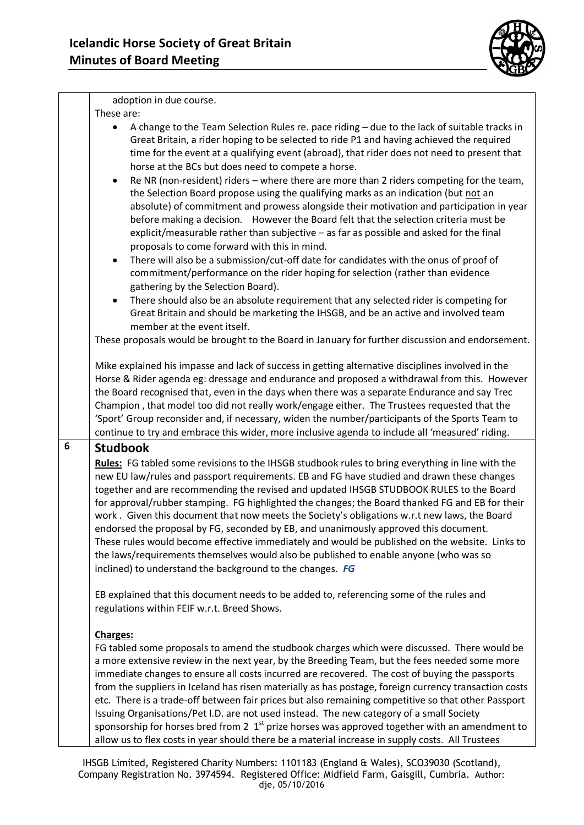

adoption in due course. These are: A change to the Team Selection Rules re. pace riding – due to the lack of suitable tracks in Great Britain, a rider hoping to be selected to ride P1 and having achieved the required time for the event at a qualifying event (abroad), that rider does not need to present that horse at the BCs but does need to compete a horse.  $\bullet$  Re NR (non-resident) riders – where there are more than 2 riders competing for the team, the Selection Board propose using the qualifying marks as an indication (but not an absolute) of commitment and prowess alongside their motivation and participation in year before making a decision. However the Board felt that the selection criteria must be explicit/measurable rather than subjective – as far as possible and asked for the final proposals to come forward with this in mind. There will also be a submission/cut-off date for candidates with the onus of proof of commitment/performance on the rider hoping for selection (rather than evidence gathering by the Selection Board). There should also be an absolute requirement that any selected rider is competing for Great Britain and should be marketing the IHSGB, and be an active and involved team member at the event itself. These proposals would be brought to the Board in January for further discussion and endorsement. Mike explained his impasse and lack of success in getting alternative disciplines involved in the Horse & Rider agenda eg: dressage and endurance and proposed a withdrawal from this. However the Board recognised that, even in the days when there was a separate Endurance and say Trec Champion , that model too did not really work/engage either. The Trustees requested that the 'Sport' Group reconsider and, if necessary, widen the number/participants of the Sports Team to continue to try and embrace this wider, more inclusive agenda to include all 'measured' riding. **6 Studbook Rules:** FG tabled some revisions to the IHSGB studbook rules to bring everything in line with the new EU law/rules and passport requirements. EB and FG have studied and drawn these changes together and are recommending the revised and updated IHSGB STUDBOOK RULES to the Board for approval/rubber stamping. FG highlighted the changes; the Board thanked FG and EB for their work . Given this document that now meets the Society's obligations w.r.t new laws, the Board endorsed the proposal by FG, seconded by EB, and unanimously approved this document. These rules would become effective immediately and would be published on the website. Links to the laws/requirements themselves would also be published to enable anyone (who was so inclined) to understand the background to the changes. *FG* EB explained that this document needs to be added to, referencing some of the rules and regulations within FEIF w.r.t. Breed Shows. **Charges:** FG tabled some proposals to amend the studbook charges which were discussed. There would be a more extensive review in the next year, by the Breeding Team, but the fees needed some more immediate changes to ensure all costs incurred are recovered. The cost of buying the passports from the suppliers in Iceland has risen materially as has postage, foreign currency transaction costs etc. There is a trade-off between fair prices but also remaining competitive so that other Passport Issuing Organisations/Pet I.D. are not used instead. The new category of a small Society sponsorship for horses bred from 2  $1<sup>st</sup>$  prize horses was approved together with an amendment to

allow us to flex costs in year should there be a material increase in supply costs. All Trustees